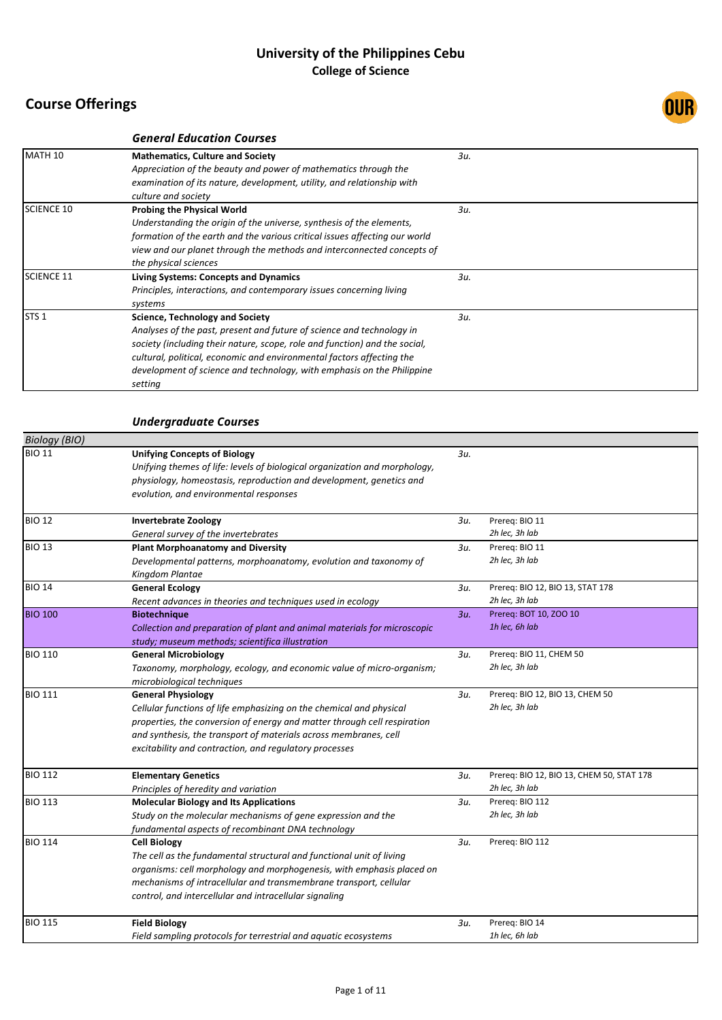|                   | <b>General Education Courses</b>                                                                                                                                                                                                                                                                                                                            |     |  |
|-------------------|-------------------------------------------------------------------------------------------------------------------------------------------------------------------------------------------------------------------------------------------------------------------------------------------------------------------------------------------------------------|-----|--|
| MATH 10           | <b>Mathematics, Culture and Society</b><br>Appreciation of the beauty and power of mathematics through the<br>examination of its nature, development, utility, and relationship with<br>culture and society                                                                                                                                                 | 3u. |  |
| <b>SCIENCE 10</b> | <b>Probing the Physical World</b><br>Understanding the origin of the universe, synthesis of the elements,<br>formation of the earth and the various critical issues affecting our world<br>view and our planet through the methods and interconnected concepts of<br>the physical sciences                                                                  | 3u. |  |
| <b>SCIENCE 11</b> | <b>Living Systems: Concepts and Dynamics</b><br>Principles, interactions, and contemporary issues concerning living<br>systems                                                                                                                                                                                                                              | 3u. |  |
| STS <sub>1</sub>  | <b>Science, Technology and Society</b><br>Analyses of the past, present and future of science and technology in<br>society (including their nature, scope, role and function) and the social,<br>cultural, political, economic and environmental factors affecting the<br>development of science and technology, with emphasis on the Philippine<br>setting | 3u. |  |

### *Undergraduate Courses*

| <b>Biology</b> (BIO) |                                                                                                                                                                                                                                    |        |                                           |
|----------------------|------------------------------------------------------------------------------------------------------------------------------------------------------------------------------------------------------------------------------------|--------|-------------------------------------------|
| <b>BIO 11</b>        | <b>Unifying Concepts of Biology</b><br>Unifying themes of life: levels of biological organization and morphology,<br>physiology, homeostasis, reproduction and development, genetics and<br>evolution, and environmental responses | 3u.    |                                           |
| <b>BIO 12</b>        | <b>Invertebrate Zoology</b>                                                                                                                                                                                                        | Зи.    | Prereq: BIO 11                            |
|                      | General survey of the invertebrates                                                                                                                                                                                                |        | 2h lec, 3h lab                            |
| <b>BIO 13</b>        | <b>Plant Morphoanatomy and Diversity</b>                                                                                                                                                                                           | 3и.    | Prereg: BIO 11                            |
|                      | Developmental patterns, morphoanatomy, evolution and taxonomy of<br>Kingdom Plantae                                                                                                                                                |        | 2h lec, 3h lab                            |
| <b>BIO 14</b>        | <b>General Ecology</b>                                                                                                                                                                                                             | 3u.    | Prereq: BIO 12, BIO 13, STAT 178          |
|                      | Recent advances in theories and techniques used in ecology                                                                                                                                                                         |        | 2h lec, 3h lab                            |
| <b>BIO 100</b>       | <b>Biotechnique</b>                                                                                                                                                                                                                | $3u$ . | Prereq: BOT 10, ZOO 10                    |
|                      | Collection and preparation of plant and animal materials for microscopic<br>study; museum methods; scientifica illustration                                                                                                        |        | 1h lec, 6h lab                            |
| <b>BIO 110</b>       | <b>General Microbiology</b>                                                                                                                                                                                                        | 3u.    | Prereq: BIO 11, CHEM 50                   |
|                      | Taxonomy, morphology, ecology, and economic value of micro-organism;<br>microbiological techniques                                                                                                                                 |        | 2h lec, 3h lab                            |
| <b>BIO 111</b>       | <b>General Physiology</b>                                                                                                                                                                                                          | 3u.    | Prereq: BIO 12, BIO 13, CHEM 50           |
|                      | Cellular functions of life emphasizing on the chemical and physical                                                                                                                                                                |        | 2h lec, 3h lab                            |
|                      | properties, the conversion of energy and matter through cell respiration                                                                                                                                                           |        |                                           |
|                      | and synthesis, the transport of materials across membranes, cell                                                                                                                                                                   |        |                                           |
|                      | excitability and contraction, and regulatory processes                                                                                                                                                                             |        |                                           |
| <b>BIO 112</b>       | <b>Elementary Genetics</b>                                                                                                                                                                                                         | Зи.    | Prereq: BIO 12, BIO 13, CHEM 50, STAT 178 |
|                      | Principles of heredity and variation                                                                                                                                                                                               |        | 2h lec, 3h lab                            |
| <b>BIO 113</b>       | <b>Molecular Biology and Its Applications</b>                                                                                                                                                                                      | 3и.    | Prereg: BIO 112                           |
|                      | Study on the molecular mechanisms of gene expression and the                                                                                                                                                                       |        | 2h lec, 3h lab                            |
|                      | fundamental aspects of recombinant DNA technology                                                                                                                                                                                  |        |                                           |
| <b>BIO 114</b>       | <b>Cell Biology</b>                                                                                                                                                                                                                | 3и.    | Prereg: BIO 112                           |
|                      | The cell as the fundamental structural and functional unit of living                                                                                                                                                               |        |                                           |
|                      | organisms: cell morphology and morphogenesis, with emphasis placed on                                                                                                                                                              |        |                                           |
|                      | mechanisms of intracellular and transmembrane transport, cellular                                                                                                                                                                  |        |                                           |
|                      | control, and intercellular and intracellular signaling                                                                                                                                                                             |        |                                           |
| <b>BIO 115</b>       | <b>Field Biology</b>                                                                                                                                                                                                               | 3и.    | Prereq: BIO 14                            |
|                      | Field sampling protocols for terrestrial and aquatic ecosystems                                                                                                                                                                    |        | 1h lec, 6h lab                            |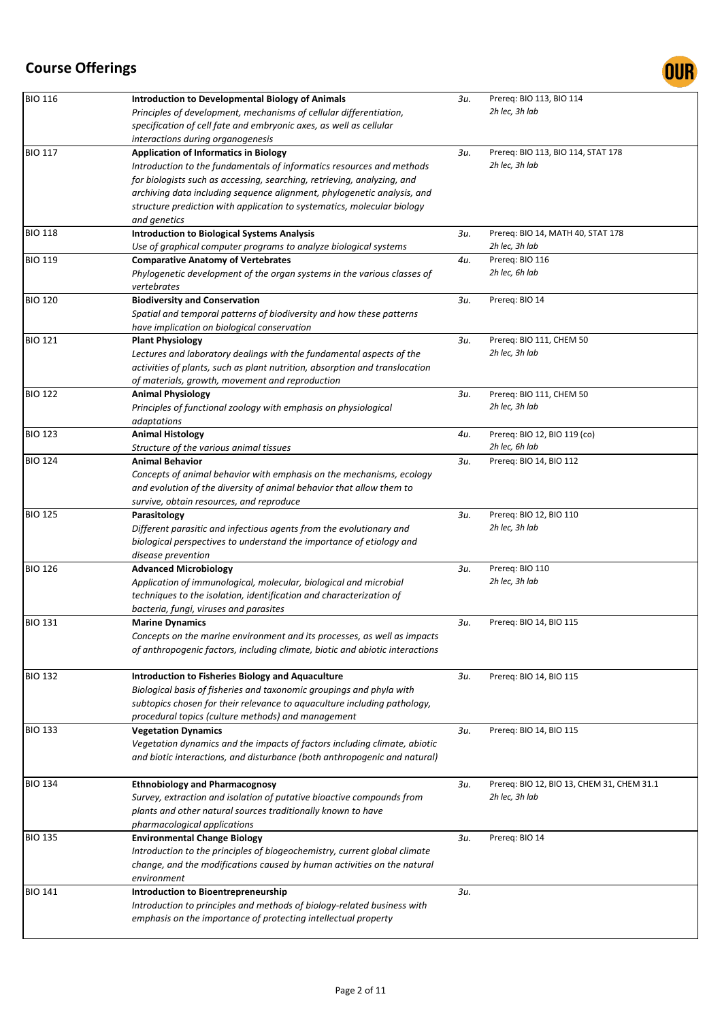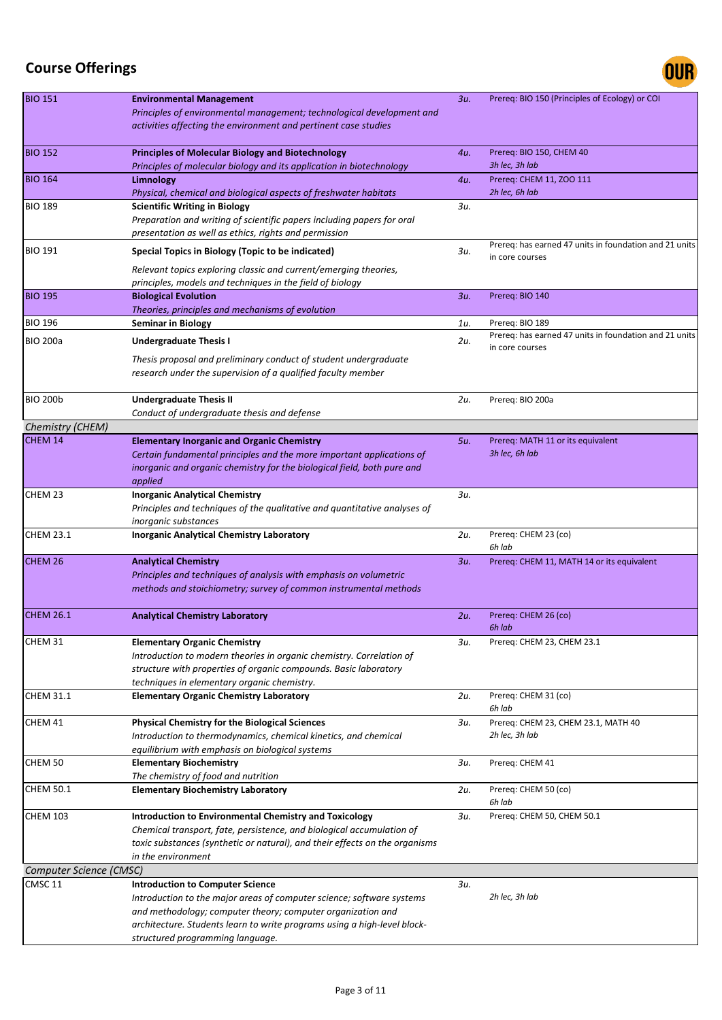

| <b>BIO 151</b>          | <b>Environmental Management</b><br>Principles of environmental management; technological development and<br>activities affecting the environment and pertinent case studies                                                                                                                     | 3u.    | Prereq: BIO 150 (Principles of Ecology) or COI                            |
|-------------------------|-------------------------------------------------------------------------------------------------------------------------------------------------------------------------------------------------------------------------------------------------------------------------------------------------|--------|---------------------------------------------------------------------------|
| <b>BIO 152</b>          | <b>Principles of Molecular Biology and Biotechnology</b><br>Principles of molecular biology and its application in biotechnology                                                                                                                                                                | 4u.    | Prereq: BIO 150, CHEM 40<br>3h lec, 3h lab                                |
| <b>BIO 164</b>          | Limnology<br>Physical, chemical and biological aspects of freshwater habitats                                                                                                                                                                                                                   | 4u.    | Prereq: CHEM 11, ZOO 111<br>2h lec, 6h lab                                |
| <b>BIO 189</b>          | <b>Scientific Writing in Biology</b><br>Preparation and writing of scientific papers including papers for oral<br>presentation as well as ethics, rights and permission                                                                                                                         | 3u.    |                                                                           |
| <b>BIO 191</b>          | Special Topics in Biology (Topic to be indicated)<br>Relevant topics exploring classic and current/emerging theories,                                                                                                                                                                           | 3и.    | Prereq: has earned 47 units in foundation and 21 units<br>in core courses |
| <b>BIO 195</b>          | principles, models and techniques in the field of biology<br><b>Biological Evolution</b>                                                                                                                                                                                                        | $3u$ . | Prereq: BIO 140                                                           |
|                         | Theories, principles and mechanisms of evolution                                                                                                                                                                                                                                                |        |                                                                           |
| <b>BIO 196</b>          | <b>Seminar in Biology</b>                                                                                                                                                                                                                                                                       | 1u.    | Prereq: BIO 189                                                           |
| <b>BIO 200a</b>         | <b>Undergraduate Thesis I</b>                                                                                                                                                                                                                                                                   | 2u.    | Prereg: has earned 47 units in foundation and 21 units                    |
|                         | Thesis proposal and preliminary conduct of student undergraduate<br>research under the supervision of a qualified faculty member                                                                                                                                                                |        | in core courses                                                           |
| <b>BIO 200b</b>         | <b>Undergraduate Thesis II</b><br>Conduct of undergraduate thesis and defense                                                                                                                                                                                                                   | 2u.    | Prereq: BIO 200a                                                          |
| Chemistry (CHEM)        |                                                                                                                                                                                                                                                                                                 |        |                                                                           |
| CHEM 14                 | <b>Elementary Inorganic and Organic Chemistry</b><br>Certain fundamental principles and the more important applications of<br>inorganic and organic chemistry for the biological field, both pure and<br>applied                                                                                | 5u.    | Prereq: MATH 11 or its equivalent<br>3h lec, 6h lab                       |
| CHEM 23                 | <b>Inorganic Analytical Chemistry</b><br>Principles and techniques of the qualitative and quantitative analyses of<br><i>inorganic substances</i>                                                                                                                                               | 3u.    |                                                                           |
| <b>CHEM 23.1</b>        | <b>Inorganic Analytical Chemistry Laboratory</b>                                                                                                                                                                                                                                                | 2u.    | Prereq: CHEM 23 (co)<br>6h lab                                            |
| CHEM 26                 | <b>Analytical Chemistry</b><br>Principles and techniques of analysis with emphasis on volumetric<br>methods and stoichiometry; survey of common instrumental methods                                                                                                                            | 3u.    | Prereq: CHEM 11, MATH 14 or its equivalent                                |
| <b>CHEM 26.1</b>        | <b>Analytical Chemistry Laboratory</b>                                                                                                                                                                                                                                                          | 2u.    | Prereq: CHEM 26 (co)<br>6h lab                                            |
| CHEM 31                 | <b>Elementary Organic Chemistry</b><br>Introduction to modern theories in organic chemistry. Correlation of                                                                                                                                                                                     | 3и.    | Prereq: CHEM 23, CHEM 23.1                                                |
|                         | structure with properties of organic compounds. Basic laboratory<br>techniques in elementary organic chemistry.                                                                                                                                                                                 |        |                                                                           |
| <b>CHEM 31.1</b>        | <b>Elementary Organic Chemistry Laboratory</b>                                                                                                                                                                                                                                                  | 2u.    | Prereq: CHEM 31 (co)<br>6h lab                                            |
| CHEM 41                 | <b>Physical Chemistry for the Biological Sciences</b><br>Introduction to thermodynamics, chemical kinetics, and chemical<br>equilibrium with emphasis on biological systems                                                                                                                     | 3и.    | Prereq: CHEM 23, CHEM 23.1, MATH 40<br>2h lec, 3h lab                     |
| CHEM 50                 | <b>Elementary Biochemistry</b><br>The chemistry of food and nutrition                                                                                                                                                                                                                           | зи.    | Prereq: CHEM 41                                                           |
| <b>CHEM 50.1</b>        | <b>Elementary Biochemistry Laboratory</b>                                                                                                                                                                                                                                                       | 2u.    | Prereq: CHEM 50 (co)<br>6h lab                                            |
| <b>CHEM 103</b>         | Introduction to Environmental Chemistry and Toxicology<br>Chemical transport, fate, persistence, and biological accumulation of<br>toxic substances (synthetic or natural), and their effects on the organisms<br>in the environment                                                            | 3и.    | Prereq: CHEM 50, CHEM 50.1                                                |
| Computer Science (CMSC) |                                                                                                                                                                                                                                                                                                 |        |                                                                           |
| CMSC <sub>11</sub>      | <b>Introduction to Computer Science</b><br>Introduction to the major areas of computer science; software systems<br>and methodology; computer theory; computer organization and<br>architecture. Students learn to write programs using a high-level block-<br>structured programming language. | 3u.    | 2h lec, 3h lab                                                            |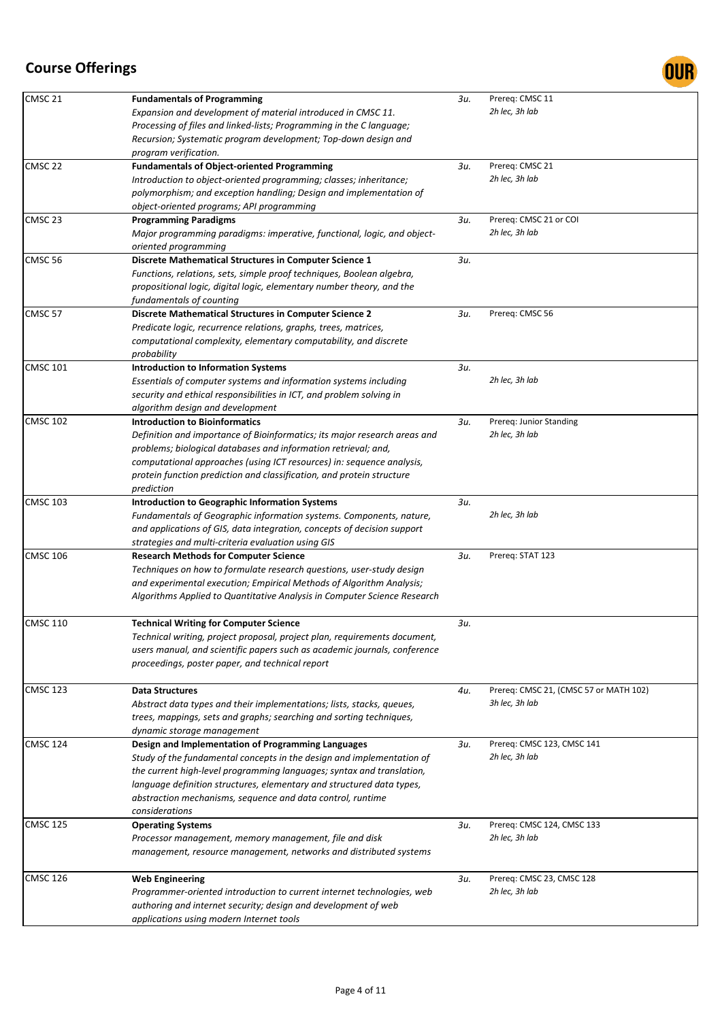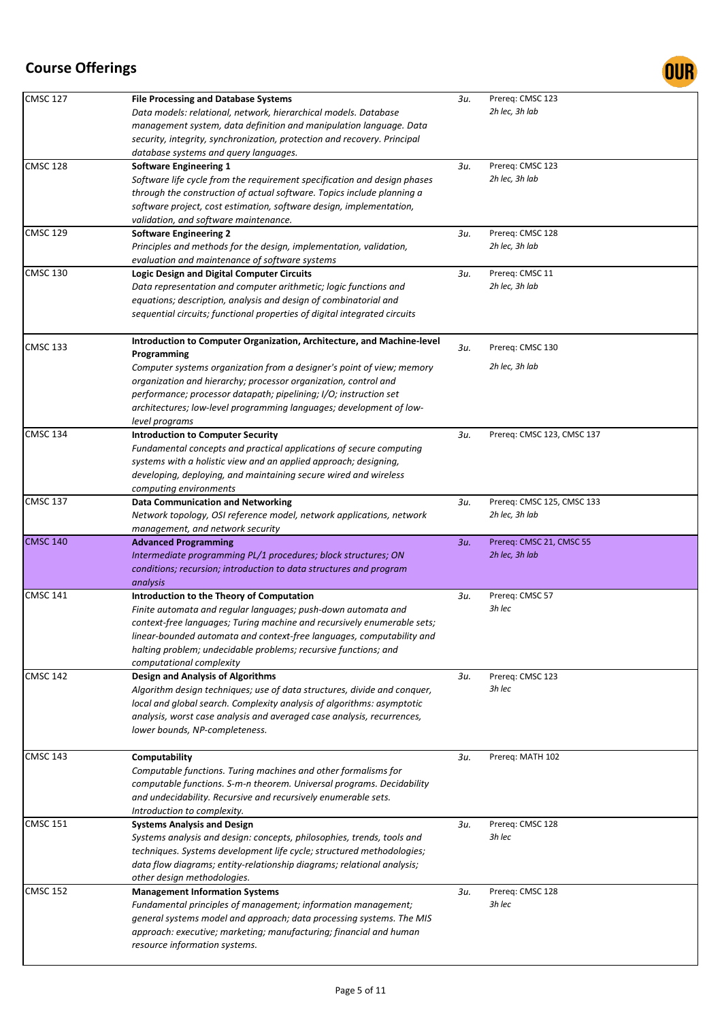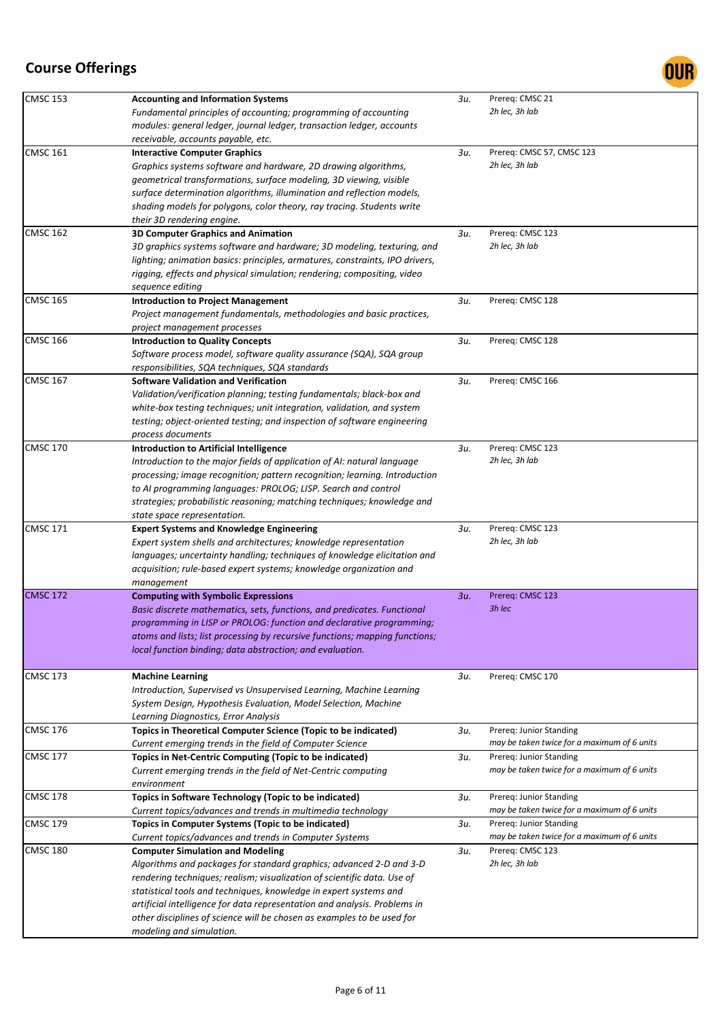

| <b>CMSC 153</b> | <b>Accounting and Information Systems</b>                                    | 3и. | Prereq: CMSC 21                             |
|-----------------|------------------------------------------------------------------------------|-----|---------------------------------------------|
|                 | Fundamental principles of accounting; programming of accounting              |     | 2h lec, 3h lab                              |
|                 | modules: general ledger, journal ledger, transaction ledger, accounts        |     |                                             |
|                 | receivable, accounts payable, etc.                                           |     |                                             |
| <b>CMSC 161</b> | <b>Interactive Computer Graphics</b>                                         | 3и. | Prereq: CMSC 57, CMSC 123                   |
|                 | Graphics systems software and hardware, 2D drawing algorithms,               |     | 2h lec, 3h lab                              |
|                 |                                                                              |     |                                             |
|                 | geometrical transformations, surface modeling, 3D viewing, visible           |     |                                             |
|                 | surface determination algorithms, illumination and reflection models,        |     |                                             |
|                 | shading models for polygons, color theory, ray tracing. Students write       |     |                                             |
|                 | their 3D rendering engine.                                                   |     |                                             |
| <b>CMSC 162</b> | <b>3D Computer Graphics and Animation</b>                                    | 3и. | Prereq: CMSC 123                            |
|                 | 3D graphics systems software and hardware; 3D modeling, texturing, and       |     | 2h lec, 3h lab                              |
|                 | lighting; animation basics: principles, armatures, constraints, IPO drivers, |     |                                             |
|                 | rigging, effects and physical simulation; rendering; compositing, video      |     |                                             |
|                 | sequence editing                                                             |     |                                             |
| <b>CMSC 165</b> |                                                                              | 3u. |                                             |
|                 | <b>Introduction to Project Management</b>                                    |     | Prereq: CMSC 128                            |
|                 | Project management fundamentals, methodologies and basic practices,          |     |                                             |
|                 | project management processes                                                 |     |                                             |
| <b>CMSC 166</b> | <b>Introduction to Quality Concepts</b>                                      | Зи. | Prereq: CMSC 128                            |
|                 | Software process model, software quality assurance (SQA), SQA group          |     |                                             |
|                 | responsibilities, SQA techniques, SQA standards                              |     |                                             |
| <b>CMSC 167</b> | <b>Software Validation and Verification</b>                                  | 3и. | Prereq: CMSC 166                            |
|                 | Validation/verification planning; testing fundamentals; black-box and        |     |                                             |
|                 | white-box testing techniques; unit integration, validation, and system       |     |                                             |
|                 |                                                                              |     |                                             |
|                 | testing; object-oriented testing; and inspection of software engineering     |     |                                             |
|                 | process documents                                                            |     |                                             |
| <b>CMSC 170</b> | Introduction to Artificial Intelligence                                      | Зи. | Prereq: CMSC 123                            |
|                 | Introduction to the major fields of application of AI: natural language      |     | 2h lec, 3h lab                              |
|                 | processing; image recognition; pattern recognition; learning. Introduction   |     |                                             |
|                 | to AI programming languages: PROLOG; LISP. Search and control                |     |                                             |
|                 | strategies; probabilistic reasoning; matching techniques; knowledge and      |     |                                             |
|                 | state space representation.                                                  |     |                                             |
| <b>CMSC 171</b> | <b>Expert Systems and Knowledge Engineering</b>                              | 3и. | Prereq: CMSC 123                            |
|                 |                                                                              |     | 2h lec, 3h lab                              |
|                 | Expert system shells and architectures; knowledge representation             |     |                                             |
|                 | languages; uncertainty handling; techniques of knowledge elicitation and     |     |                                             |
|                 | acquisition; rule-based expert systems; knowledge organization and           |     |                                             |
|                 | management                                                                   |     |                                             |
| <b>CMSC 172</b> | <b>Computing with Symbolic Expressions</b>                                   | 3u. | Prereq: CMSC 123                            |
|                 | Basic discrete mathematics, sets, functions, and predicates. Functional      |     | 3h lec                                      |
|                 | programming in LISP or PROLOG: function and declarative programming;         |     |                                             |
|                 | atoms and lists; list processing by recursive functions; mapping functions;  |     |                                             |
|                 | local function binding; data abstraction; and evaluation.                    |     |                                             |
|                 |                                                                              |     |                                             |
| <b>CMSC 173</b> |                                                                              | 3и. | Prereq: CMSC 170                            |
|                 | <b>Machine Learning</b>                                                      |     |                                             |
|                 | Introduction, Supervised vs Unsupervised Learning, Machine Learning          |     |                                             |
|                 | System Design, Hypothesis Evaluation, Model Selection, Machine               |     |                                             |
|                 | Learning Diagnostics, Error Analysis                                         |     |                                             |
| <b>CMSC 176</b> | Topics in Theoretical Computer Science (Topic to be indicated)               | Зи. | Prereq: Junior Standing                     |
|                 | Current emerging trends in the field of Computer Science                     |     | may be taken twice for a maximum of 6 units |
| <b>CMSC 177</b> | Topics in Net-Centric Computing (Topic to be indicated)                      | 3и. | Prereg: Junior Standing                     |
|                 | Current emerging trends in the field of Net-Centric computing                |     | may be taken twice for a maximum of 6 units |
|                 | environment                                                                  |     |                                             |
|                 |                                                                              | 3и. |                                             |
| <b>CMSC 178</b> | Topics in Software Technology (Topic to be indicated)                        |     | Prereq: Junior Standing                     |
|                 | Current topics/advances and trends in multimedia technology                  |     | may be taken twice for a maximum of 6 units |
| <b>CMSC 179</b> | Topics in Computer Systems (Topic to be indicated)                           | 3и. | Prereq: Junior Standing                     |
|                 | Current topics/advances and trends in Computer Systems                       |     | may be taken twice for a maximum of 6 units |
| <b>CMSC 180</b> | <b>Computer Simulation and Modeling</b>                                      | 3и. | Prereq: CMSC 123                            |
|                 | Algorithms and packages for standard graphics; advanced 2-D and 3-D          |     | 2h lec, 3h lab                              |
|                 | rendering techniques; realism; visualization of scientific data. Use of      |     |                                             |
|                 | statistical tools and techniques, knowledge in expert systems and            |     |                                             |
|                 | artificial intelligence for data representation and analysis. Problems in    |     |                                             |
|                 | other disciplines of science will be chosen as examples to be used for       |     |                                             |
|                 |                                                                              |     |                                             |
|                 | modeling and simulation.                                                     |     |                                             |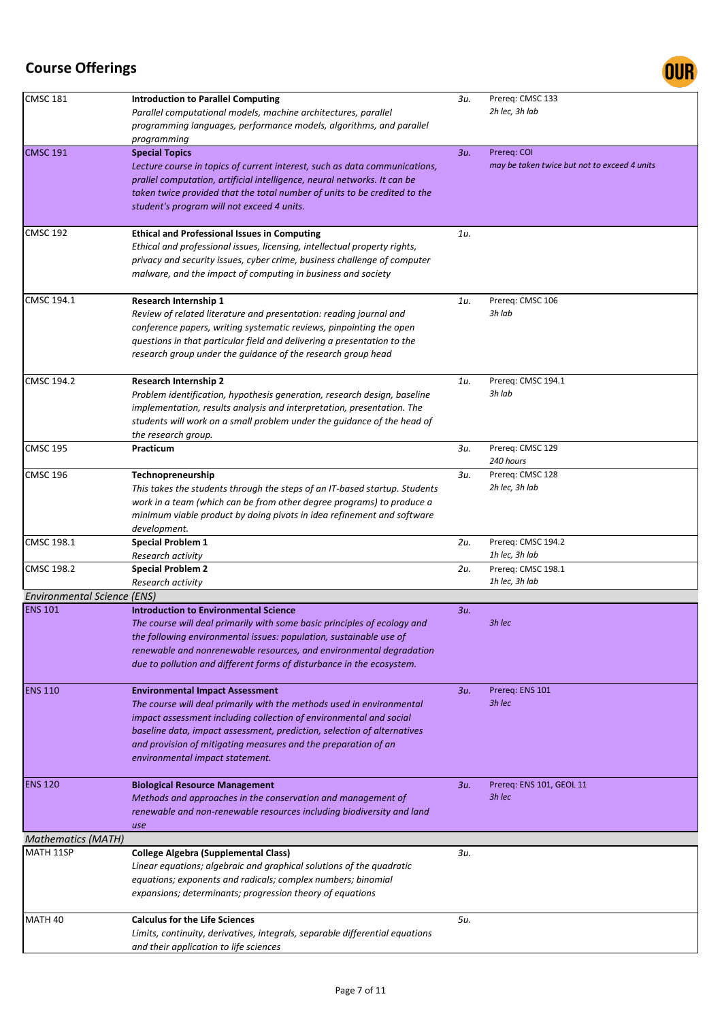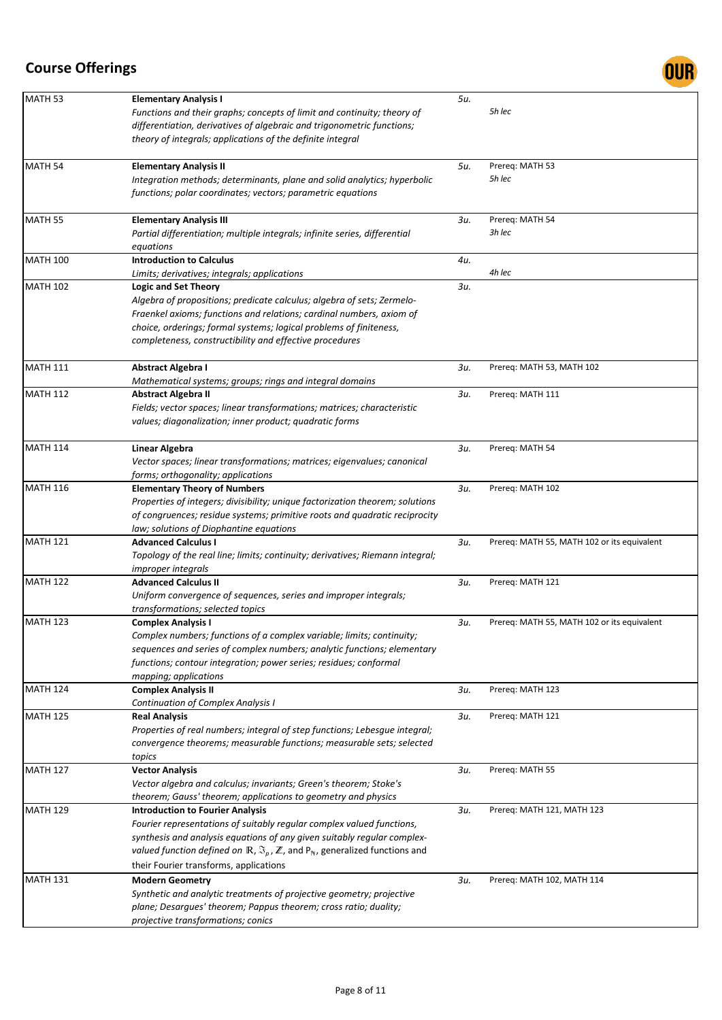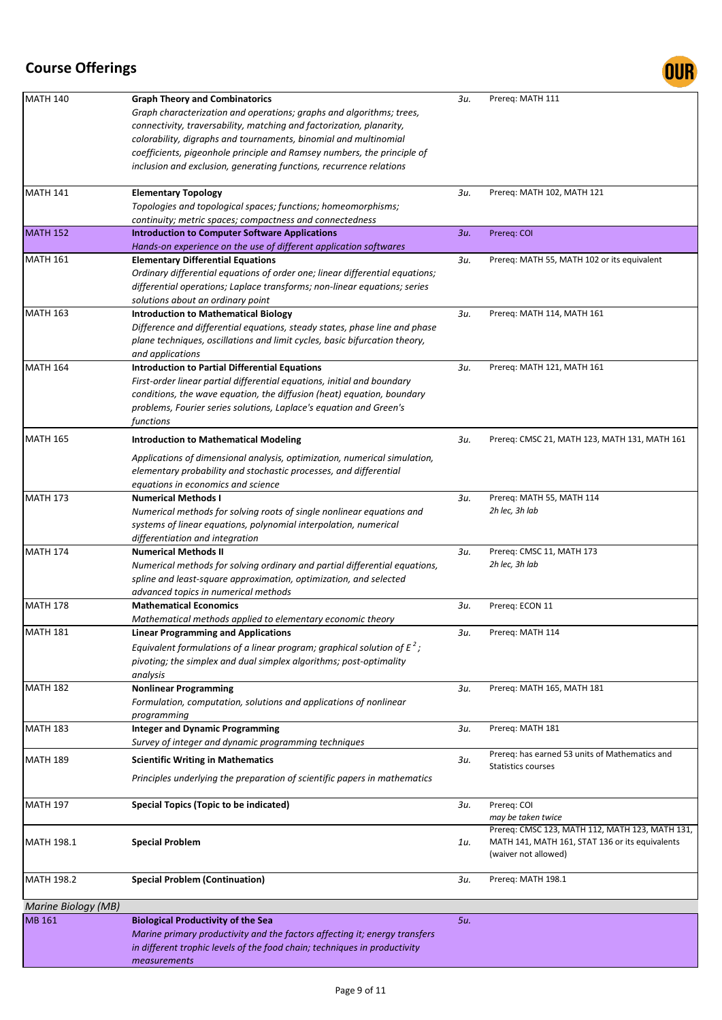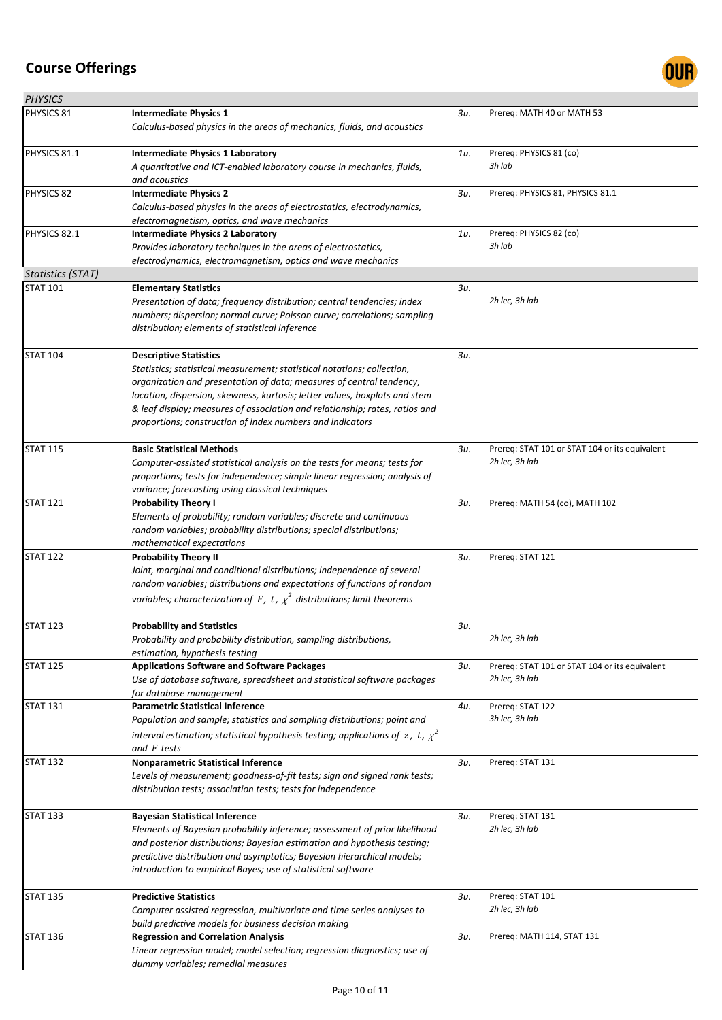

| <b>PHYSICS</b>           |                                                                                                                                                                                                                                                                                                                                                                                                            |     |                                                                  |
|--------------------------|------------------------------------------------------------------------------------------------------------------------------------------------------------------------------------------------------------------------------------------------------------------------------------------------------------------------------------------------------------------------------------------------------------|-----|------------------------------------------------------------------|
| PHYSICS 81               | <b>Intermediate Physics 1</b><br>Calculus-based physics in the areas of mechanics, fluids, and acoustics                                                                                                                                                                                                                                                                                                   | Зи. | Prereq: MATH 40 or MATH 53                                       |
| PHYSICS 81.1             | <b>Intermediate Physics 1 Laboratory</b><br>A quantitative and ICT-enabled laboratory course in mechanics, fluids,<br>and acoustics                                                                                                                                                                                                                                                                        | 1u. | Prereq: PHYSICS 81 (co)<br>3h lab                                |
| PHYSICS 82               | <b>Intermediate Physics 2</b><br>Calculus-based physics in the areas of electrostatics, electrodynamics,<br>electromagnetism, optics, and wave mechanics                                                                                                                                                                                                                                                   | Зи. | Prereq: PHYSICS 81, PHYSICS 81.1                                 |
| PHYSICS 82.1             | <b>Intermediate Physics 2 Laboratory</b><br>Provides laboratory techniques in the areas of electrostatics,<br>electrodynamics, electromagnetism, optics and wave mechanics                                                                                                                                                                                                                                 | 1u. | Prereq: PHYSICS 82 (co)<br>3h lab                                |
| <b>Statistics (STAT)</b> |                                                                                                                                                                                                                                                                                                                                                                                                            |     |                                                                  |
| <b>STAT 101</b>          | <b>Elementary Statistics</b><br>Presentation of data; frequency distribution; central tendencies; index<br>numbers; dispersion; normal curve; Poisson curve; correlations; sampling<br>distribution; elements of statistical inference                                                                                                                                                                     | Зи. | 2h lec, 3h lab                                                   |
| <b>STAT 104</b>          | <b>Descriptive Statistics</b><br>Statistics; statistical measurement; statistical notations; collection,<br>organization and presentation of data; measures of central tendency,<br>location, dispersion, skewness, kurtosis; letter values, boxplots and stem<br>& leaf display; measures of association and relationship; rates, ratios and<br>proportions; construction of index numbers and indicators | Зи. |                                                                  |
| <b>STAT 115</b>          | <b>Basic Statistical Methods</b><br>Computer-assisted statistical analysis on the tests for means; tests for<br>proportions; tests for independence; simple linear regression; analysis of<br>variance; forecasting using classical techniques                                                                                                                                                             | Зи. | Prereq: STAT 101 or STAT 104 or its equivalent<br>2h lec, 3h lab |
| <b>STAT 121</b>          | <b>Probability Theory I</b><br>Elements of probability; random variables; discrete and continuous<br>random variables; probability distributions; special distributions;<br>mathematical expectations                                                                                                                                                                                                      | Зи. | Prereq: MATH 54 (co), MATH 102                                   |
| <b>STAT 122</b>          | <b>Probability Theory II</b><br>Joint, marginal and conditional distributions; independence of several<br>random variables; distributions and expectations of functions of random<br>variables; characterization of F, t, $\chi^2$ distributions; limit theorems                                                                                                                                           | Зи. | Prereq: STAT 121                                                 |
| <b>STAT 123</b>          | <b>Probability and Statistics</b><br>Probability and probability distribution, sampling distributions,<br>estimation, hypothesis testing                                                                                                                                                                                                                                                                   | 3и. | 2h lec, 3h lab                                                   |
| <b>STAT 125</b>          | <b>Applications Software and Software Packages</b><br>Use of database software, spreadsheet and statistical software packages<br>for database management                                                                                                                                                                                                                                                   | Зи. | Prereq: STAT 101 or STAT 104 or its equivalent<br>2h lec, 3h lab |
| <b>STAT 131</b>          | <b>Parametric Statistical Inference</b><br>Population and sample; statistics and sampling distributions; point and<br>interval estimation; statistical hypothesis testing; applications of z, t, $\chi^2$<br>and F tests                                                                                                                                                                                   | 4u. | Prereq: STAT 122<br>3h lec, 3h lab                               |
| <b>STAT 132</b>          | <b>Nonparametric Statistical Inference</b><br>Levels of measurement; goodness-of-fit tests; sign and signed rank tests;<br>distribution tests; association tests; tests for independence                                                                                                                                                                                                                   | Зи. | Prereq: STAT 131                                                 |
| <b>STAT 133</b>          | <b>Bayesian Statistical Inference</b><br>Elements of Bayesian probability inference; assessment of prior likelihood<br>and posterior distributions; Bayesian estimation and hypothesis testing;<br>predictive distribution and asymptotics; Bayesian hierarchical models;<br>introduction to empirical Bayes; use of statistical software                                                                  | 3и. | Prereq: STAT 131<br>2h lec, 3h lab                               |
| <b>STAT 135</b>          | <b>Predictive Statistics</b><br>Computer assisted regression, multivariate and time series analyses to<br>build predictive models for business decision making                                                                                                                                                                                                                                             | 3и. | Prereq: STAT 101<br>2h lec, 3h lab                               |
| <b>STAT 136</b>          | <b>Regression and Correlation Analysis</b><br>Linear regression model; model selection; regression diagnostics; use of<br>dummy variables; remedial measures                                                                                                                                                                                                                                               | Зи. | Prereq: MATH 114, STAT 131                                       |